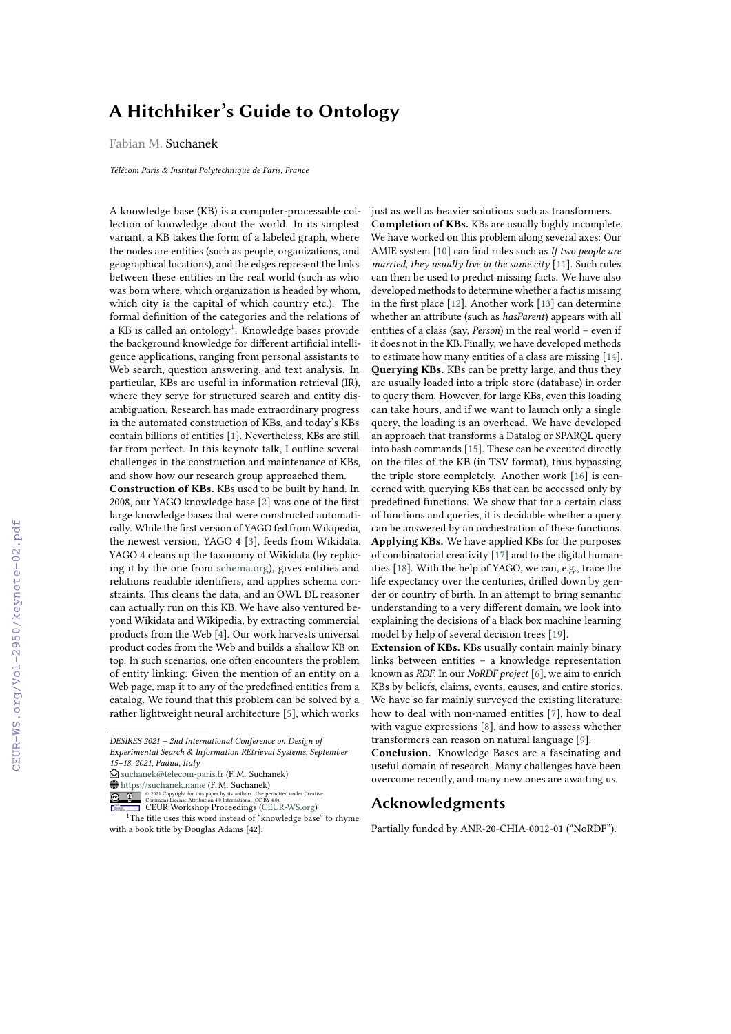## **A Hitchhiker's Guide to Ontology**

Fabian M. Suchanek

*Télécom Paris & Institut Polytechnique de Paris, France*

A knowledge base (KB) is a computer-processable collection of knowledge about the world. In its simplest variant, a KB takes the form of a labeled graph, where the nodes are entities (such as people, organizations, and geographical locations), and the edges represent the links between these entities in the real world (such as who was born where, which organization is headed by whom, which city is the capital of which country etc.). The formal definition of the categories and the relations of a KB is called an ontology $^1$  $^1$ . Knowledge bases provide the background knowledge for different artificial intelligence applications, ranging from personal assistants to Web search, question answering, and text analysis. In particular, KBs are useful in information retrieval (IR), where they serve for structured search and entity disambiguation. Research has made extraordinary progress in the automated construction of KBs, and today's KBs contain billions of entities [\[1\]](#page--1-0). Nevertheless, KBs are still far from perfect. In this keynote talk, I outline several challenges in the construction and maintenance of KBs, and show how our research group approached them.

**Construction of KBs.** KBs used to be built by hand. In 2008, our YAGO knowledge base [\[2\]](#page--1-1) was one of the first large knowledge bases that were constructed automatically. While the first version of YAGO fed from Wikipedia, the newest version, YAGO 4 [\[3\]](#page--1-2), feeds from Wikidata. YAGO 4 cleans up the taxonomy of Wikidata (by replacing it by the one from [schema.org\)](https://schema.org), gives entities and relations readable identifiers, and applies schema constraints. This cleans the data, and an OWL DL reasoner can actually run on this KB. We have also ventured beyond Wikidata and Wikipedia, by extracting commercial products from the Web [\[4\]](#page--1-3). Our work harvests universal product codes from the Web and builds a shallow KB on top. In such scenarios, one often encounters the problem of entity linking: Given the mention of an entity on a Web page, map it to any of the predefined entities from a catalog. We found that this problem can be solved by a rather lightweight neural architecture [\[5\]](#page--1-4), which works

 $\bigcirc$  [suchanek@telecom-paris.fr](mailto:suchanek@telecom-paris.fr) (F. M. Suchanek)

**O** 8 2021 Copyright for this paper by its authors. Use permitted under Creative<br>
CELUR Workshop [Proceedings](http://ceur-ws.org) (CEBUR-WS.org)

<span id="page-0-0"></span>

<sup>1</sup>The title uses this word instead of "knowledge base" to rhyme with a book title by Douglas Adams [42].

just as well as heavier solutions such as transformers. **Completion of KBs.** KBs are usually highly incomplete. We have worked on this problem along several axes: Our AMIE system [\[10\]](#page--1-5) can find rules such as *If two people are married, they usually live in the same city* [\[11\]](#page--1-6). Such rules can then be used to predict missing facts. We have also developed methods to determine whether a fact is missing in the first place [\[12\]](#page--1-7). Another work [\[13\]](#page--1-8) can determine whether an attribute (such as *hasParent*) appears with all entities of a class (say, *Person*) in the real world – even if it does not in the KB. Finally, we have developed methods to estimate how many entities of a class are missing [\[14\]](#page--1-9). **Querying KBs.** KBs can be pretty large, and thus they are usually loaded into a triple store (database) in order to query them. However, for large KBs, even this loading can take hours, and if we want to launch only a single query, the loading is an overhead. We have developed an approach that transforms a Datalog or SPARQL query into bash commands [\[15\]](#page--1-10). These can be executed directly on the files of the KB (in TSV format), thus bypassing the triple store completely. Another work [\[16\]](#page--1-11) is concerned with querying KBs that can be accessed only by predefined functions. We show that for a certain class of functions and queries, it is decidable whether a query can be answered by an orchestration of these functions. **Applying KBs.** We have applied KBs for the purposes of combinatorial creativity [\[17\]](#page--1-12) and to the digital humanities [\[18\]](#page--1-13). With the help of YAGO, we can, e.g., trace the life expectancy over the centuries, drilled down by gender or country of birth. In an attempt to bring semantic understanding to a very different domain, we look into explaining the decisions of a black box machine learning model by help of several decision trees [\[19\]](#page--1-14).

**Extension of KBs.** KBs usually contain mainly binary links between entities – a knowledge representation known as *RDF*. In our *NoRDF project* [\[6\]](#page--1-15), we aim to enrich KBs by beliefs, claims, events, causes, and entire stories. We have so far mainly surveyed the existing literature: how to deal with non-named entities [\[7\]](#page--1-16), how to deal with vague expressions [\[8\]](#page--1-17), and how to assess whether transformers can reason on natural language [\[9\]](#page--1-18).

**Conclusion.** Knowledge Bases are a fascinating and useful domain of research. Many challenges have been overcome recently, and many new ones are awaiting us.

## **Acknowledgments**

Partially funded by ANR-20-CHIA-0012-01 ("NoRDF").

*DESIRES 2021 – 2nd International Conference on Design of Experimental Search & Information REtrieval Systems, September 15–18, 2021, Padua, Italy*

<sup>~</sup> <https://suchanek.name> (F. M. Suchanek)